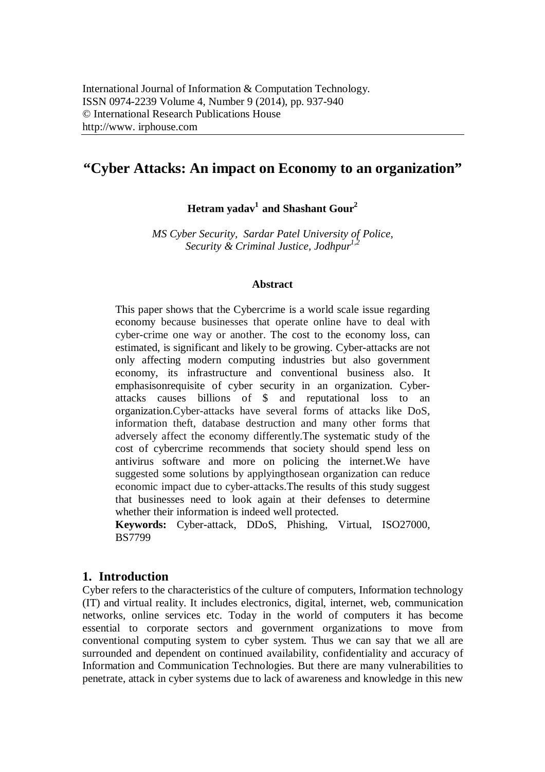# **"Cyber Attacks: An impact on Economy to an organization"**

**Hetram yadav<sup>1</sup>and Shashant Gour<sup>2</sup>**

*MS Cyber Security, Sardar Patel University of Police, Security & Criminal Justice, Jodhpur1,2*

#### **Abstract**

This paper shows that the Cybercrime is a world scale issue regarding economy because businesses that operate online have to deal with cyber-crime one way or another. The cost to the economy loss, can estimated, is significant and likely to be growing. Cyber-attacks are not only affecting modern computing industries but also government economy, its infrastructure and conventional business also. It emphasisonrequisite of cyber security in an organization. Cyberattacks causes billions of \$ and reputational loss to an organization.Cyber-attacks have several forms of attacks like DoS, information theft, database destruction and many other forms that adversely affect the economy differently.The systematic study of the cost of cybercrime recommends that society should spend less on antivirus software and more on policing the internet.We have suggested some solutions by applyingthosean organization can reduce economic impact due to cyber-attacks.The results of this study suggest that businesses need to look again at their defenses to determine whether their information is indeed well protected.

**Keywords:** Cyber-attack, DDoS, Phishing, Virtual, ISO27000, BS7799

#### **1. Introduction**

Cyber refers to the characteristics of the culture of computers, Information technology (IT) and virtual reality. It includes electronics, digital, internet, web, communication networks, online services etc. Today in the world of computers it has become essential to corporate sectors and government organizations to move from conventional computing system to cyber system. Thus we can say that we all are surrounded and dependent on continued availability, confidentiality and accuracy of Information and Communication Technologies. But there are many vulnerabilities to penetrate, attack in cyber systems due to lack of awareness and knowledge in this new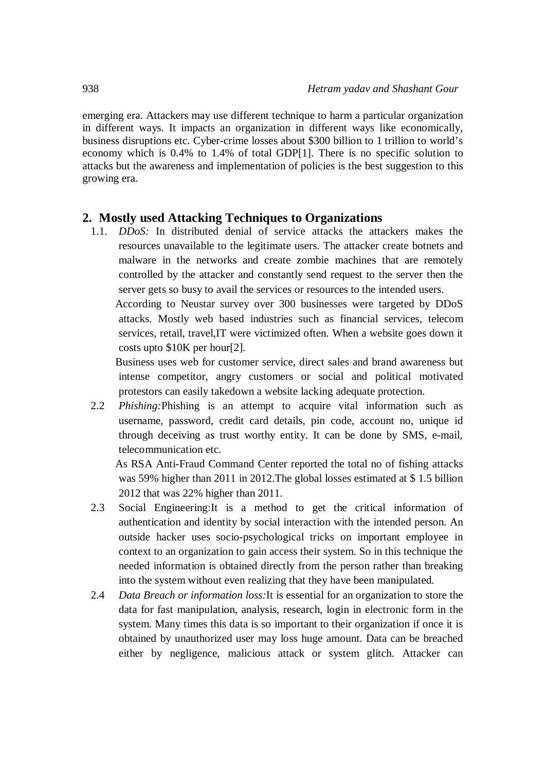emerging era. Attackers may use different technique to harm a particular organization in different ways. It impacts an organization in different ways like economically, business disruptions etc. Cyber-crime losses about \$300 billion to 1 trillion to world's economy which is 0.4% to 1.4% of total GDP[1]. There is no specific solution to attacks but the awareness and implementation of policies is the best suggestion to this growing era.

#### **2. Mostly used Attacking Techniques to Organizations**

1.1. *DDoS:* In distributed denial of service attacks the attackers makes the resources unavailable to the legitimate users. The attacker create botnets and malware in the networks and create zombie machines that are remotely controlled by the attacker and constantly send request to the server then the server gets so busy to avail the services or resources to the intended users.

According to Neustar survey over 300 businesses were targeted by DDoS attacks. Mostly web based industries such as financial services, telecom services, retail, travel,IT were victimized often. When a website goes down it costs upto \$10K per hour[2].

Business uses web for customer service, direct sales and brand awareness but intense competitor, angry customers or social and political motivated protestors can easily takedown a website lacking adequate protection.

2.2 *Phishing:*Phishing is an attempt to acquire vital information such as username, password, credit card details, pin code, account no, unique id through deceiving as trust worthy entity. It can be done by SMS, e-mail, telecommunication etc.

As RSA Anti-Fraud Command Center reported the total no of fishing attacks was 59% higher than 2011 in 2012.The global losses estimated at \$ 1.5 billion 2012 that was 22% higher than 2011.

- 2.3 Social Engineering:It is a method to get the critical information of authentication and identity by social interaction with the intended person. An outside hacker uses socio-psychological tricks on important employee in context to an organization to gain access their system. So in this technique the needed information is obtained directly from the person rather than breaking into the system without even realizing that they have been manipulated.
- 2.4 *Data Breach or information loss:*It is essential for an organization to store the data for fast manipulation, analysis, research, login in electronic form in the system. Many times this data is so important to their organization if once it is obtained by unauthorized user may loss huge amount. Data can be breached either by negligence, malicious attack or system glitch. Attacker can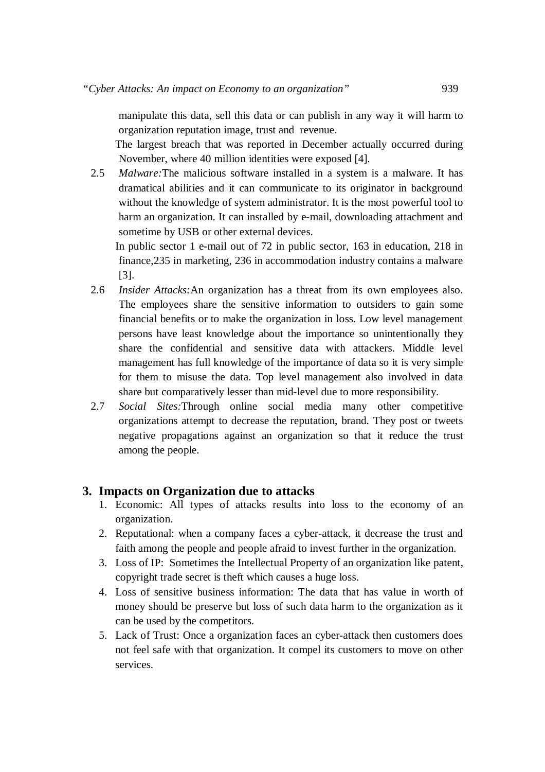manipulate this data, sell this data or can publish in any way it will harm to organization reputation image, trust and revenue.

The largest breach that was reported in December actually occurred during November, where 40 million identities were exposed [4].

2.5 *Malware:*The malicious software installed in a system is a malware. It has dramatical abilities and it can communicate to its originator in background without the knowledge of system administrator. It is the most powerful tool to harm an organization. It can installed by e-mail, downloading attachment and sometime by USB or other external devices.

In public sector 1 e-mail out of 72 in public sector, 163 in education, 218 in finance,235 in marketing, 236 in accommodation industry contains a malware [3].

- 2.6 *Insider Attacks:*An organization has a threat from its own employees also. The employees share the sensitive information to outsiders to gain some financial benefits or to make the organization in loss. Low level management persons have least knowledge about the importance so unintentionally they share the confidential and sensitive data with attackers. Middle level management has full knowledge of the importance of data so it is very simple for them to misuse the data. Top level management also involved in data share but comparatively lesser than mid-level due to more responsibility.
- 2.7 *Social Sites:*Through online social media many other competitive organizations attempt to decrease the reputation, brand. They post or tweets negative propagations against an organization so that it reduce the trust among the people.

#### **3. Impacts on Organization due to attacks**

- 1. Economic: All types of attacks results into loss to the economy of an organization.
- 2. Reputational: when a company faces a cyber-attack, it decrease the trust and faith among the people and people afraid to invest further in the organization.
- 3. Loss of IP: Sometimes the Intellectual Property of an organization like patent, copyright trade secret is theft which causes a huge loss.
- 4. Loss of sensitive business information: The data that has value in worth of money should be preserve but loss of such data harm to the organization as it can be used by the competitors.
- 5. Lack of Trust: Once a organization faces an cyber-attack then customers does not feel safe with that organization. It compel its customers to move on other services.